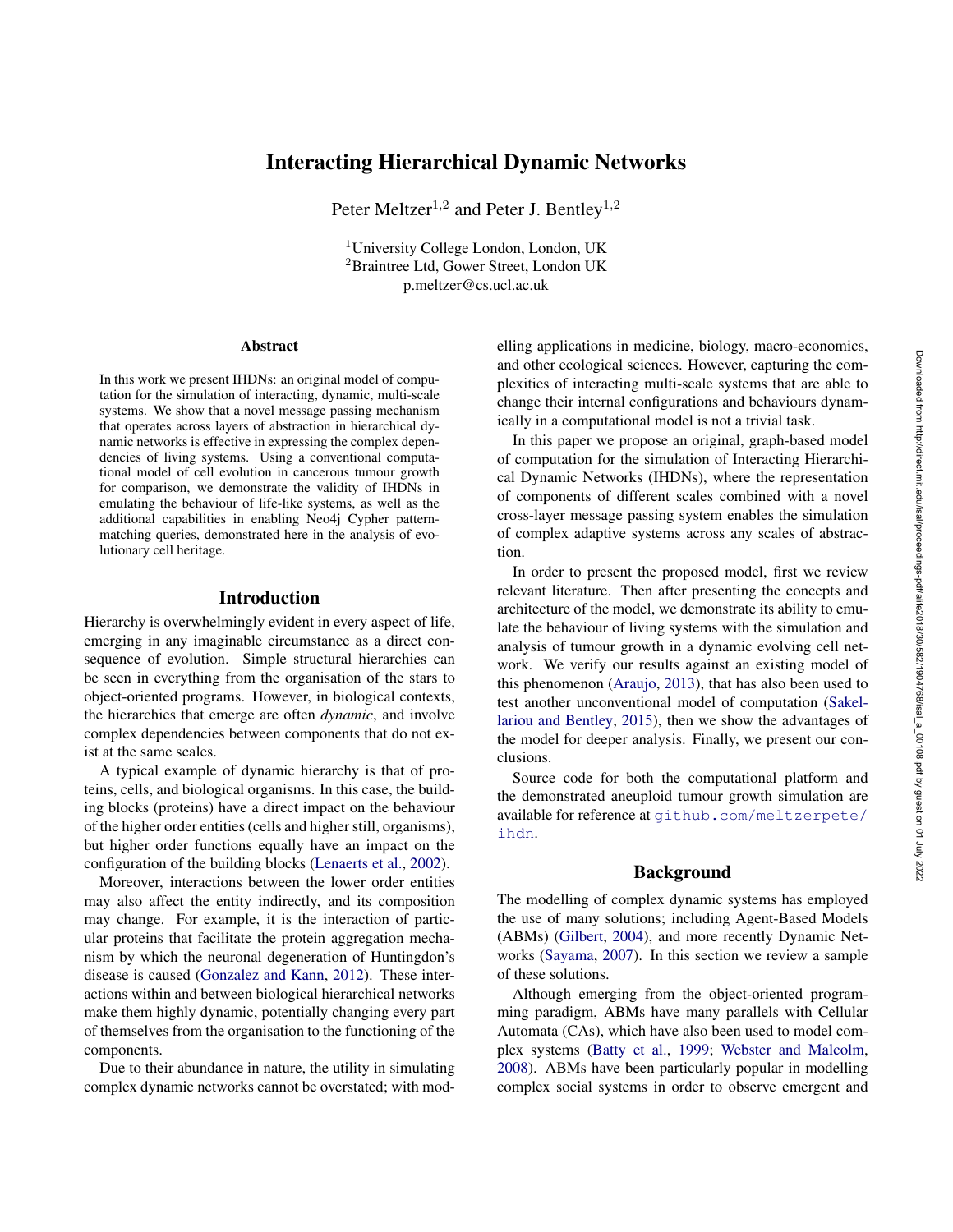## Interacting Hierarchical Dynamic Networks

Peter Meltzer<sup>1,2</sup> and Peter J. Bentley<sup>1,2</sup>

<sup>1</sup>University College London, London, UK <sup>2</sup>Braintree Ltd, Gower Street, London UK p.meltzer@cs.ucl.ac.uk

#### Abstract

In this work we present IHDNs: an original model of computation for the simulation of interacting, dynamic, multi-scale systems. We show that a novel message passing mechanism that operates across layers of abstraction in hierarchical dynamic networks is effective in expressing the complex dependencies of living systems. Using a conventional computational model of cell evolution in cancerous tumour growth for comparison, we demonstrate the validity of IHDNs in emulating the behaviour of life-like systems, as well as the additional capabilities in enabling Neo4j Cypher patternmatching queries, demonstrated here in the analysis of evolutionary cell heritage.

### Introduction

Hierarchy is overwhelmingly evident in every aspect of life, emerging in any imaginable circumstance as a direct consequence of evolution. Simple structural hierarchies can be seen in everything from the organisation of the stars to object-oriented programs. However, in biological contexts, the hierarchies that emerge are often *dynamic*, and involve complex dependencies between components that do not exist at the same scales.

A typical example of dynamic hierarchy is that of proteins, cells, and biological organisms. In this case, the building blocks (proteins) have a direct impact on the behaviour of the higher order entities (cells and higher still, organisms), but higher order functions equally have an impact on the configuration of the building blocks [\(Lenaerts et al.,](#page-7-0) [2002\)](#page-7-0).

Moreover, interactions between the lower order entities may also affect the entity indirectly, and its composition may change. For example, it is the interaction of particular proteins that facilitate the protein aggregation mechanism by which the neuronal degeneration of Huntingdon's disease is caused [\(Gonzalez and Kann,](#page-7-1) [2012\)](#page-7-1). These interactions within and between biological hierarchical networks make them highly dynamic, potentially changing every part of themselves from the organisation to the functioning of the components.

Due to their abundance in nature, the utility in simulating complex dynamic networks cannot be overstated; with modelling applications in medicine, biology, macro-economics, and other ecological sciences. However, capturing the complexities of interacting multi-scale systems that are able to change their internal configurations and behaviours dynamically in a computational model is not a trivial task.

In this paper we propose an original, graph-based model of computation for the simulation of Interacting Hierarchical Dynamic Networks (IHDNs), where the representation of components of different scales combined with a novel cross-layer message passing system enables the simulation of complex adaptive systems across any scales of abstraction.

In order to present the proposed model, first we review relevant literature. Then after presenting the concepts and architecture of the model, we demonstrate its ability to emulate the behaviour of living systems with the simulation and analysis of tumour growth in a dynamic evolving cell network. We verify our results against an existing model of this phenomenon [\(Araujo,](#page-7-2) [2013\)](#page-7-2), that has also been used to test another unconventional model of computation [\(Sakel](#page-7-3)[lariou and Bentley,](#page-7-3) [2015\)](#page-7-3), then we show the advantages of the model for deeper analysis. Finally, we present our conclusions.

Source code for both the computational platform and the demonstrated aneuploid tumour growth simulation are available for reference at [github.com/meltzerpete/](github.com/meltzerpete/ihdn) [ihdn](github.com/meltzerpete/ihdn).

## Background

The modelling of complex dynamic systems has employed the use of many solutions; including Agent-Based Models (ABMs) [\(Gilbert,](#page-7-4) [2004\)](#page-7-4), and more recently Dynamic Networks [\(Sayama,](#page-7-5) [2007\)](#page-7-5). In this section we review a sample of these solutions.

Although emerging from the object-oriented programming paradigm, ABMs have many parallels with Cellular Automata (CAs), which have also been used to model complex systems [\(Batty et al.,](#page-7-6) [1999;](#page-7-6) [Webster and Malcolm,](#page-7-7) [2008\)](#page-7-7). ABMs have been particularly popular in modelling complex social systems in order to observe emergent and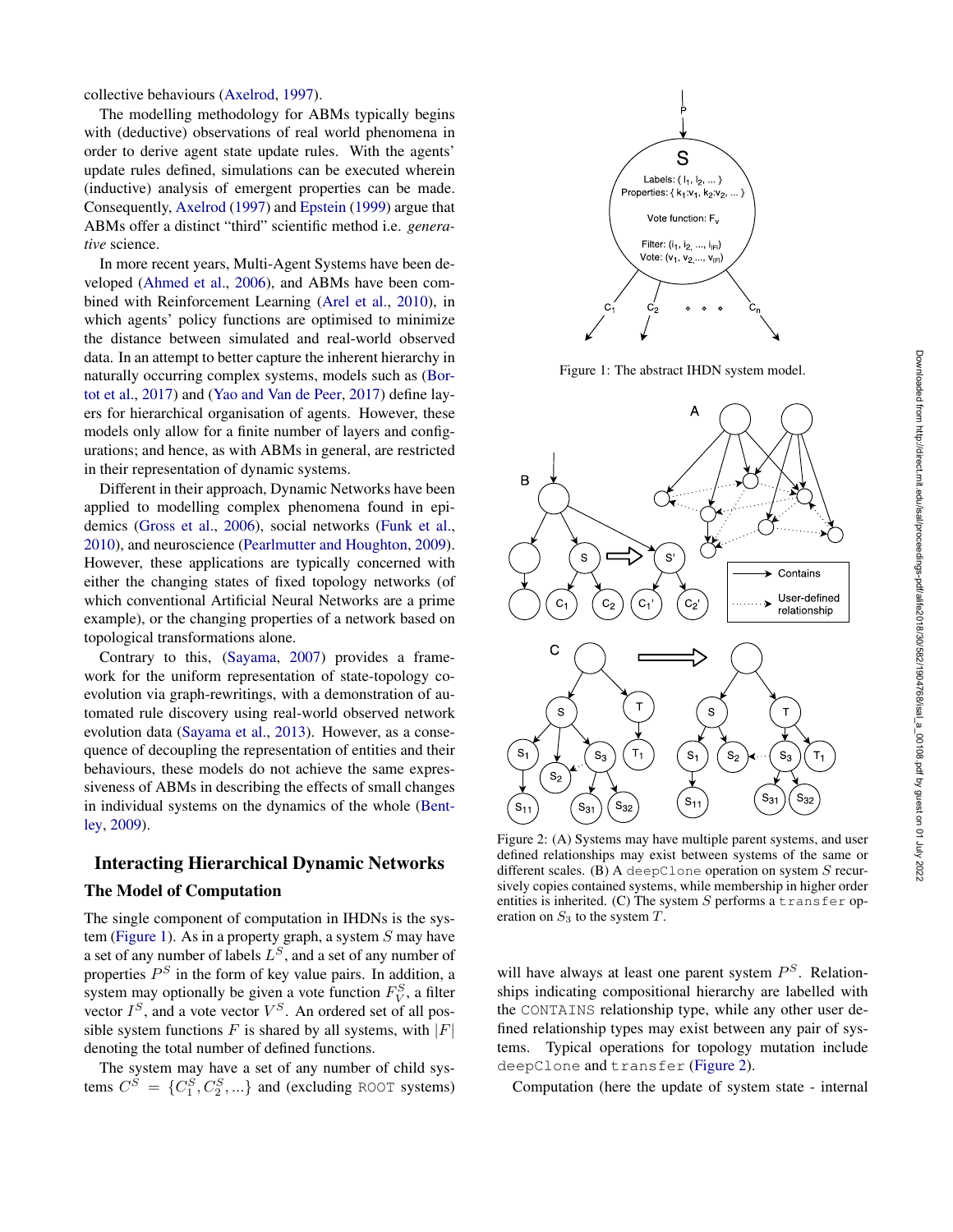collective behaviours [\(Axelrod,](#page-7-8) [1997\)](#page-7-8).

The modelling methodology for ABMs typically begins with (deductive) observations of real world phenomena in order to derive agent state update rules. With the agents' update rules defined, simulations can be executed wherein (inductive) analysis of emergent properties can be made. Consequently, [Axelrod](#page-7-8) [\(1997\)](#page-7-8) and [Epstein](#page-7-9) [\(1999\)](#page-7-9) argue that ABMs offer a distinct "third" scientific method i.e. *generative* science.

In more recent years, Multi-Agent Systems have been developed [\(Ahmed et al.,](#page-7-10) [2006\)](#page-7-10), and ABMs have been combined with Reinforcement Learning [\(Arel et al.,](#page-7-11) [2010\)](#page-7-11), in which agents' policy functions are optimised to minimize the distance between simulated and real-world observed data. In an attempt to better capture the inherent hierarchy in naturally occurring complex systems, models such as [\(Bor](#page-7-12)[tot et al.,](#page-7-12) [2017\)](#page-7-12) and [\(Yao and Van de Peer,](#page-7-13) [2017\)](#page-7-13) define layers for hierarchical organisation of agents. However, these models only allow for a finite number of layers and configurations; and hence, as with ABMs in general, are restricted in their representation of dynamic systems.

Different in their approach, Dynamic Networks have been applied to modelling complex phenomena found in epidemics [\(Gross et al.,](#page-7-14) [2006\)](#page-7-14), social networks [\(Funk et al.,](#page-7-15) [2010\)](#page-7-15), and neuroscience [\(Pearlmutter and Houghton,](#page-7-16) [2009\)](#page-7-16). However, these applications are typically concerned with either the changing states of fixed topology networks (of which conventional Artificial Neural Networks are a prime example), or the changing properties of a network based on topological transformations alone.

Contrary to this, [\(Sayama,](#page-7-5) [2007\)](#page-7-5) provides a framework for the uniform representation of state-topology coevolution via graph-rewritings, with a demonstration of automated rule discovery using real-world observed network evolution data [\(Sayama et al.,](#page-7-17) [2013\)](#page-7-17). However, as a consequence of decoupling the representation of entities and their behaviours, these models do not achieve the same expressiveness of ABMs in describing the effects of small changes in individual systems on the dynamics of the whole [\(Bent](#page-7-18)[ley,](#page-7-18) [2009\)](#page-7-18).

# Interacting Hierarchical Dynamic Networks The Model of Computation

The single component of computation in IHDNs is the sys-tem [\(Figure 1\)](#page-1-0). As in a property graph, a system  $S$  may have a set of any number of labels  $L^S$ , and a set of any number of properties  $P<sup>S</sup>$  in the form of key value pairs. In addition, a system may optionally be given a vote function  $F_V^S$ , a filter vector  $I<sup>S</sup>$ , and a vote vector  $V<sup>S</sup>$ . An ordered set of all possible system functions F is shared by all systems, with  $|F|$ denoting the total number of defined functions.

The system may have a set of any number of child systems  $C^S = \{C_1^S, C_2^S, ...\}$  and (excluding ROOT systems)

<span id="page-1-0"></span>

Figure 1: The abstract IHDN system model.

<span id="page-1-1"></span>

Figure 2: (A) Systems may have multiple parent systems, and user defined relationships may exist between systems of the same or different scales. (B) A deepClone operation on system  $S$  recursively copies contained systems, while membership in higher order entities is inherited. (C) The system  $S$  performs a transfer operation on  $S_3$  to the system  $T$ .

will have always at least one parent system  $P<sup>S</sup>$ . Relationships indicating compositional hierarchy are labelled with the CONTAINS relationship type, while any other user defined relationship types may exist between any pair of systems. Typical operations for topology mutation include deepClone and transfer [\(Figure 2\)](#page-1-1).

Computation (here the update of system state - internal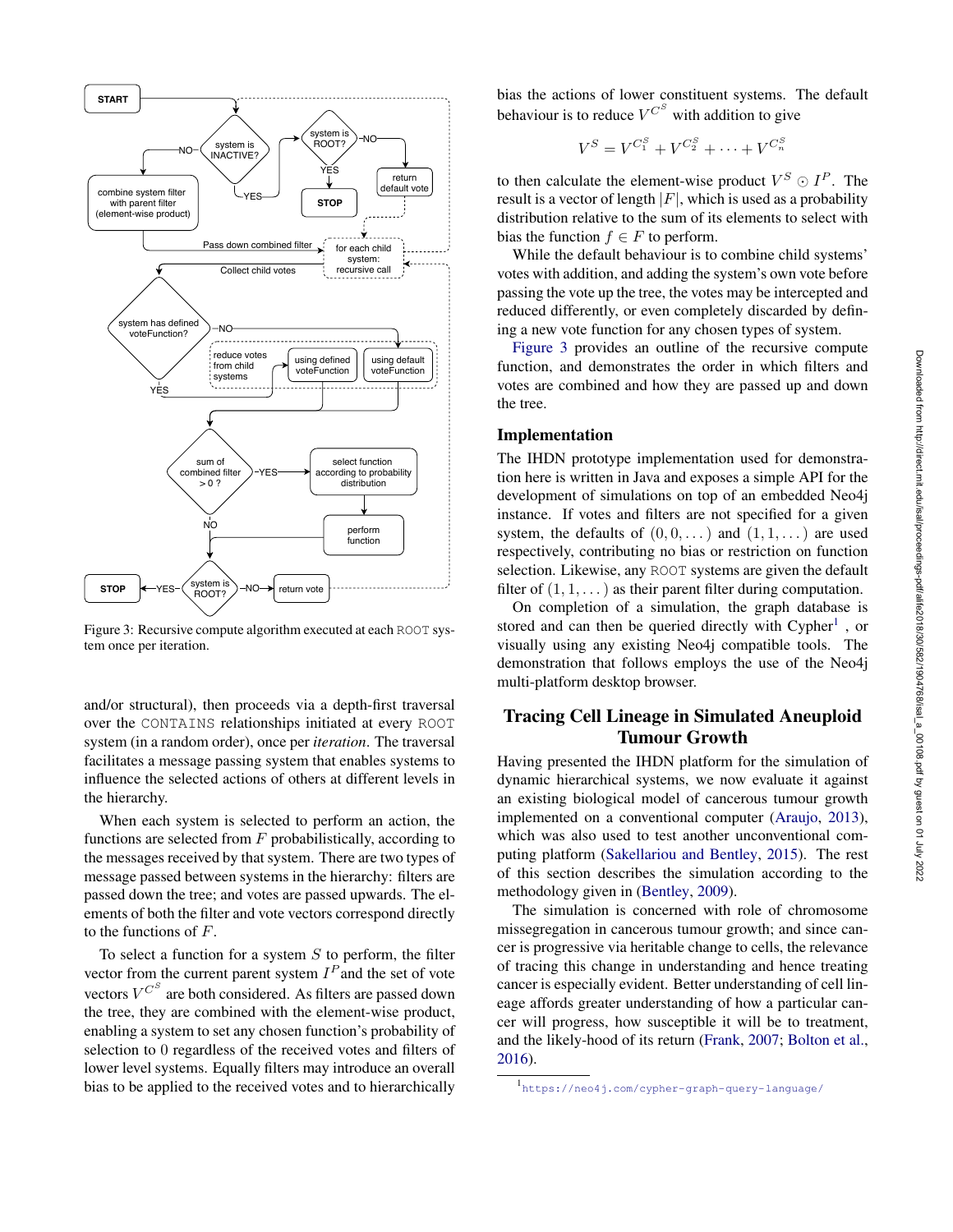<span id="page-2-0"></span>

Figure 3: Recursive compute algorithm executed at each ROOT system once per iteration.

and/or structural), then proceeds via a depth-first traversal over the CONTAINS relationships initiated at every ROOT system (in a random order), once per *iteration*. The traversal facilitates a message passing system that enables systems to influence the selected actions of others at different levels in the hierarchy.

When each system is selected to perform an action, the functions are selected from  $F$  probabilistically, according to the messages received by that system. There are two types of message passed between systems in the hierarchy: filters are passed down the tree; and votes are passed upwards. The elements of both the filter and vote vectors correspond directly to the functions of F.

To select a function for a system  $S$  to perform, the filter vector from the current parent system  $I<sup>P</sup>$  and the set of vote vectors  $V^{C<sup>S</sup>}$  are both considered. As filters are passed down the tree, they are combined with the element-wise product, enabling a system to set any chosen function's probability of selection to 0 regardless of the received votes and filters of lower level systems. Equally filters may introduce an overall bias to be applied to the received votes and to hierarchically

bias the actions of lower constituent systems. The default behaviour is to reduce  $V^{C^S}$  with addition to give

$$
V^{S} = V^{C_1^{S}} + V^{C_2^{S}} + \dots + V^{C_n^{S}}
$$

to then calculate the element-wise product  $V^S \odot I^P$ . The result is a vector of length  $|F|$ , which is used as a probability distribution relative to the sum of its elements to select with bias the function  $f \in F$  to perform.

While the default behaviour is to combine child systems' votes with addition, and adding the system's own vote before passing the vote up the tree, the votes may be intercepted and reduced differently, or even completely discarded by defining a new vote function for any chosen types of system.

[Figure 3](#page-2-0) provides an outline of the recursive compute function, and demonstrates the order in which filters and votes are combined and how they are passed up and down the tree.

## Implementation

The IHDN prototype implementation used for demonstration here is written in Java and exposes a simple API for the development of simulations on top of an embedded Neo4j instance. If votes and filters are not specified for a given system, the defaults of  $(0, 0, ...)$  and  $(1, 1, ...)$  are used respectively, contributing no bias or restriction on function selection. Likewise, any ROOT systems are given the default filter of  $(1, 1, ...)$  as their parent filter during computation.

On completion of a simulation, the graph database is stored and can then be queried directly with Cypher<sup>[1](#page-2-1)</sup>, or visually using any existing Neo4j compatible tools. The demonstration that follows employs the use of the Neo4j multi-platform desktop browser.

## Tracing Cell Lineage in Simulated Aneuploid Tumour Growth

Having presented the IHDN platform for the simulation of dynamic hierarchical systems, we now evaluate it against an existing biological model of cancerous tumour growth implemented on a conventional computer [\(Araujo,](#page-7-2) [2013\)](#page-7-2), which was also used to test another unconventional computing platform [\(Sakellariou and Bentley,](#page-7-3) [2015\)](#page-7-3). The rest of this section describes the simulation according to the methodology given in [\(Bentley,](#page-7-18) [2009\)](#page-7-18).

The simulation is concerned with role of chromosome missegregation in cancerous tumour growth; and since cancer is progressive via heritable change to cells, the relevance of tracing this change in understanding and hence treating cancer is especially evident. Better understanding of cell lineage affords greater understanding of how a particular cancer will progress, how susceptible it will be to treatment, and the likely-hood of its return [\(Frank,](#page-7-19) [2007;](#page-7-19) [Bolton et al.,](#page-7-20) [2016\)](#page-7-20).

<span id="page-2-1"></span><sup>1</sup> <https://neo4j.com/cypher-graph-query-language/>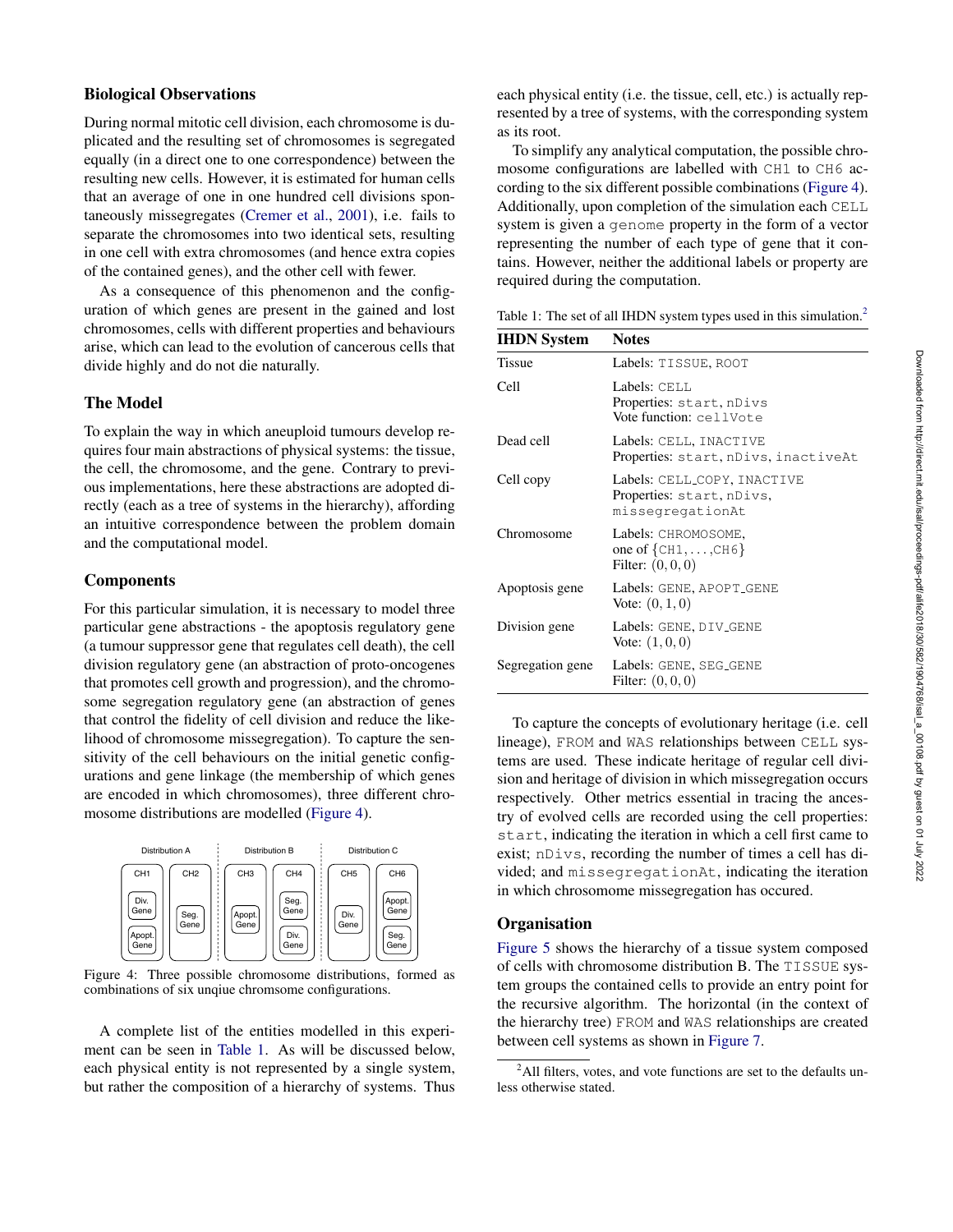During normal mitotic cell division, each chromosome is duplicated and the resulting set of chromosomes is segregated equally (in a direct one to one correspondence) between the resulting new cells. However, it is estimated for human cells that an average of one in one hundred cell divisions spontaneously missegregates [\(Cremer et al.,](#page-7-21) [2001\)](#page-7-21), i.e. fails to separate the chromosomes into two identical sets, resulting in one cell with extra chromosomes (and hence extra copies of the contained genes), and the other cell with fewer.

As a consequence of this phenomenon and the configuration of which genes are present in the gained and lost chromosomes, cells with different properties and behaviours arise, which can lead to the evolution of cancerous cells that divide highly and do not die naturally.

### The Model

To explain the way in which aneuploid tumours develop requires four main abstractions of physical systems: the tissue, the cell, the chromosome, and the gene. Contrary to previous implementations, here these abstractions are adopted directly (each as a tree of systems in the hierarchy), affording an intuitive correspondence between the problem domain and the computational model.

## Components

For this particular simulation, it is necessary to model three particular gene abstractions - the apoptosis regulatory gene (a tumour suppressor gene that regulates cell death), the cell division regulatory gene (an abstraction of proto-oncogenes that promotes cell growth and progression), and the chromosome segregation regulatory gene (an abstraction of genes that control the fidelity of cell division and reduce the likelihood of chromosome missegregation). To capture the sensitivity of the cell behaviours on the initial genetic configurations and gene linkage (the membership of which genes are encoded in which chromosomes), three different chromosome distributions are modelled [\(Figure 4\)](#page-3-0).

<span id="page-3-0"></span>

Figure 4: Three possible chromosome distributions, formed as combinations of six unqiue chromsome configurations.

A complete list of the entities modelled in this experiment can be seen in [Table 1.](#page-3-1) As will be discussed below, each physical entity is not represented by a single system, but rather the composition of a hierarchy of systems. Thus

each physical entity (i.e. the tissue, cell, etc.) is actually represented by a tree of systems, with the corresponding system as its root.

To simplify any analytical computation, the possible chromosome configurations are labelled with CH1 to CH6 according to the six different possible combinations [\(Figure 4\)](#page-3-0). Additionally, upon completion of the simulation each CELL system is given a genome property in the form of a vector representing the number of each type of gene that it contains. However, neither the additional labels or property are required during the computation.

<span id="page-3-1"></span>Table 1: The set of all IHDN system types used in this simulation.<sup>[2](#page-3-2)</sup>

| <b>IHDN</b> System | <b>Notes</b>                                                                 |
|--------------------|------------------------------------------------------------------------------|
| <b>Tissue</b>      | Labels: TISSUE, ROOT                                                         |
| Cell               | Labels: CELL<br>Properties: start, nDivs<br>Vote function: cellVote          |
| Dead cell          | Labels: CELL, INACTIVE<br>Properties: start, nDivs, inactiveAt               |
| Cell copy          | Labels: CELL_COPY, INACTIVE<br>Properties: start, nDivs,<br>missegregationAt |
| Chromosome         | Labels: CHROMOSOME,<br>one of $\{CH1, \ldots, CH6\}$<br>Filter: $(0, 0, 0)$  |
| Apoptosis gene     | Labels: GENE, APOPT_GENE<br>Vote: $(0, 1, 0)$                                |
| Division gene      | Labels: GENE, DIV_GENE<br>Vote: $(1, 0, 0)$                                  |
| Segregation gene   | Labels: GENE, SEG_GENE<br>Filter: $(0, 0, 0)$                                |

To capture the concepts of evolutionary heritage (i.e. cell lineage), FROM and WAS relationships between CELL systems are used. These indicate heritage of regular cell division and heritage of division in which missegregation occurs respectively. Other metrics essential in tracing the ancestry of evolved cells are recorded using the cell properties: start, indicating the iteration in which a cell first came to exist; nDivs, recording the number of times a cell has divided; and missegregationAt, indicating the iteration in which chrosomome missegregation has occured.

#### **Organisation**

[Figure 5](#page-4-0) shows the hierarchy of a tissue system composed of cells with chromosome distribution B. The TISSUE system groups the contained cells to provide an entry point for the recursive algorithm. The horizontal (in the context of the hierarchy tree) FROM and WAS relationships are created between cell systems as shown in [Figure 7.](#page-5-0)

<span id="page-3-2"></span> $2$ All filters, votes, and vote functions are set to the defaults unless otherwise stated.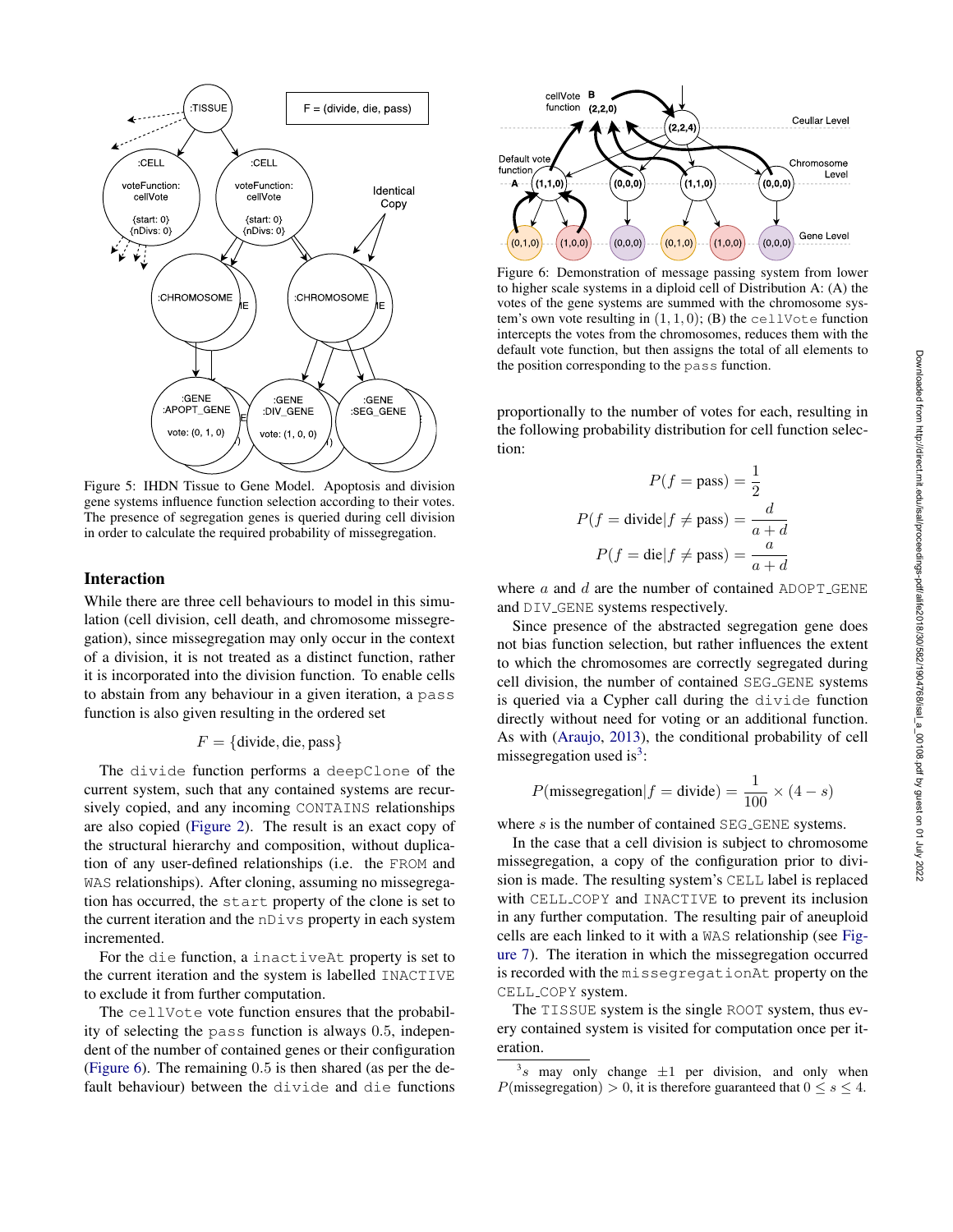<span id="page-4-0"></span>![](_page_4_Figure_0.jpeg)

Figure 5: IHDN Tissue to Gene Model. Apoptosis and division gene systems influence function selection according to their votes. The presence of segregation genes is queried during cell division in order to calculate the required probability of missegregation.

#### Interaction

While there are three cell behaviours to model in this simulation (cell division, cell death, and chromosome missegregation), since missegregation may only occur in the context of a division, it is not treated as a distinct function, rather it is incorporated into the division function. To enable cells to abstain from any behaviour in a given iteration, a pass function is also given resulting in the ordered set

$$
F = \{\text{divide, die}, \text{pass}\}\
$$

The divide function performs a deepClone of the current system, such that any contained systems are recursively copied, and any incoming CONTAINS relationships are also copied [\(Figure 2\)](#page-1-1). The result is an exact copy of the structural hierarchy and composition, without duplication of any user-defined relationships (i.e. the FROM and WAS relationships). After cloning, assuming no missegregation has occurred, the start property of the clone is set to the current iteration and the nDivs property in each system incremented.

For the die function, a inactiveAt property is set to the current iteration and the system is labelled INACTIVE to exclude it from further computation.

The cellVote vote function ensures that the probability of selecting the pass function is always 0.5, independent of the number of contained genes or their configuration [\(Figure 6\)](#page-4-1). The remaining 0.5 is then shared (as per the default behaviour) between the divide and die functions

<span id="page-4-1"></span>![](_page_4_Figure_8.jpeg)

Figure 6: Demonstration of message passing system from lower to higher scale systems in a diploid cell of Distribution A: (A) the votes of the gene systems are summed with the chromosome system's own vote resulting in  $(1, 1, 0)$ ; (B) the cell Vote function intercepts the votes from the chromosomes, reduces them with the default vote function, but then assigns the total of all elements to the position corresponding to the pass function.

proportionally to the number of votes for each, resulting in the following probability distribution for cell function selection:

$$
P(f = \text{pass}) = \frac{1}{2}
$$

$$
P(f = \text{divide}|f \neq \text{pass}) = \frac{d}{a+d}
$$

$$
P(f = \text{die}|f \neq \text{pass}) = \frac{a}{a+d}
$$

where  $a$  and  $d$  are the number of contained ADOPT\_GENE and DIV GENE systems respectively.

Since presence of the abstracted segregation gene does not bias function selection, but rather influences the extent to which the chromosomes are correctly segregated during cell division, the number of contained SEG GENE systems is queried via a Cypher call during the divide function directly without need for voting or an additional function. As with [\(Araujo,](#page-7-2) [2013\)](#page-7-2), the conditional probability of cell missegregation used is<sup>[3](#page-4-2)</sup>:

$$
P(\text{missegression}|f = \text{divide}) = \frac{1}{100} \times (4 - s)
$$

where  $s$  is the number of contained SEG\_GENE systems.

In the case that a cell division is subject to chromosome missegregation, a copy of the configuration prior to division is made. The resulting system's CELL label is replaced with CELL COPY and INACTIVE to prevent its inclusion in any further computation. The resulting pair of aneuploid cells are each linked to it with a WAS relationship (see [Fig](#page-5-0)[ure 7\)](#page-5-0). The iteration in which the missegregation occurred is recorded with the missegregationAt property on the CELL COPY system.

The TISSUE system is the single ROOT system, thus every contained system is visited for computation once per iteration.

<span id="page-4-2"></span> $3s$  may only change  $\pm 1$  per division, and only when  $P(misseragation) > 0$ , it is therefore guaranteed that  $0 \le s \le 4$ .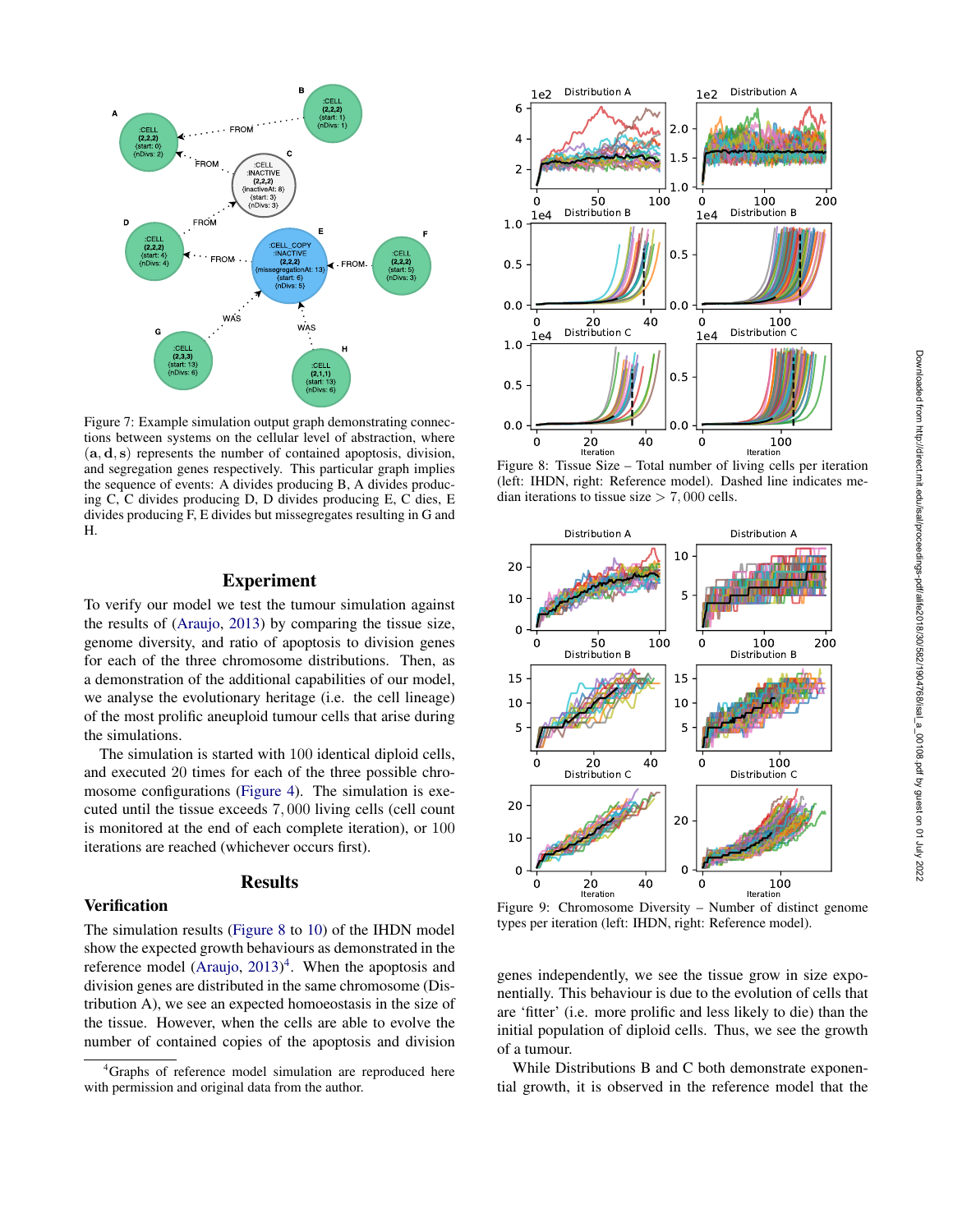<span id="page-5-0"></span>![](_page_5_Figure_1.jpeg)

Figure 7: Example simulation output graph demonstrating connections between systems on the cellular level of abstraction, where  $(a, d, s)$  represents the number of contained apoptosis, division, and segregation genes respectively. This particular graph implies the sequence of events: A divides producing B, A divides producing C, C divides producing D, D divides producing E, C dies, E divides producing F, E divides but missegregates resulting in G and H.

## Experiment

To verify our model we test the tumour simulation against the results of [\(Araujo,](#page-7-2) [2013\)](#page-7-2) by comparing the tissue size, genome diversity, and ratio of apoptosis to division genes for each of the three chromosome distributions. Then, as a demonstration of the additional capabilities of our model, we analyse the evolutionary heritage (i.e. the cell lineage) of the most prolific aneuploid tumour cells that arise during the simulations.

The simulation is started with 100 identical diploid cells, and executed 20 times for each of the three possible chromosome configurations [\(Figure 4\)](#page-3-0). The simulation is executed until the tissue exceeds 7, 000 living cells (cell count is monitored at the end of each complete iteration), or 100 iterations are reached (whichever occurs first).

### Results

## **Verification**

The simulation results [\(Figure 8](#page-5-1) to [10\)](#page-6-0) of the IHDN model show the expected growth behaviours as demonstrated in the reference model [\(Araujo,](#page-7-2)  $2013$ <sup>[4](#page-5-2)</sup>. When the apoptosis and division genes are distributed in the same chromosome (Distribution A), we see an expected homoeostasis in the size of the tissue. However, when the cells are able to evolve the number of contained copies of the apoptosis and division

<span id="page-5-1"></span>![](_page_5_Figure_10.jpeg)

Figure 8: Tissue Size – Total number of living cells per iteration (left: IHDN, right: Reference model). Dashed line indicates median iterations to tissue size  $> 7,000$  cells.

![](_page_5_Figure_12.jpeg)

Figure 9: Chromosome Diversity – Number of distinct genome types per iteration (left: IHDN, right: Reference model).

genes independently, we see the tissue grow in size exponentially. This behaviour is due to the evolution of cells that are 'fitter' (i.e. more prolific and less likely to die) than the initial population of diploid cells. Thus, we see the growth of a tumour.

While Distributions B and C both demonstrate exponential growth, it is observed in the reference model that the

<span id="page-5-2"></span><sup>4</sup>Graphs of reference model simulation are reproduced here with permission and original data from the author.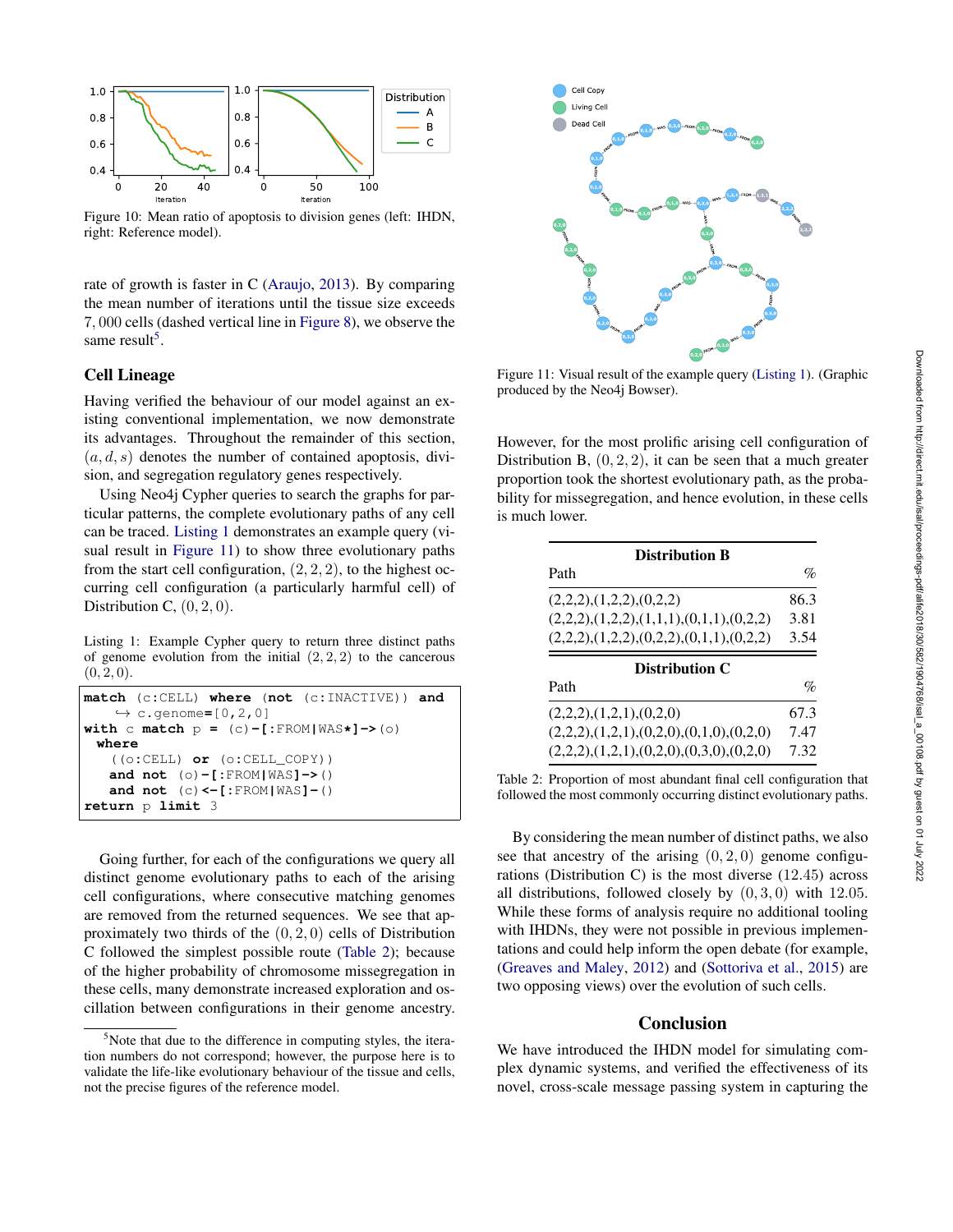<span id="page-6-0"></span>![](_page_6_Figure_1.jpeg)

Figure 10: Mean ratio of apoptosis to division genes (left: IHDN, right: Reference model).

rate of growth is faster in C [\(Araujo,](#page-7-2) [2013\)](#page-7-2). By comparing the mean number of iterations until the tissue size exceeds 7, 000 cells (dashed vertical line in [Figure 8\)](#page-5-1), we observe the same result<sup>[5](#page-6-1)</sup>.

## Cell Lineage

Having verified the behaviour of our model against an existing conventional implementation, we now demonstrate its advantages. Throughout the remainder of this section,  $(a, d, s)$  denotes the number of contained apoptosis, division, and segregation regulatory genes respectively.

Using Neo4j Cypher queries to search the graphs for particular patterns, the complete evolutionary paths of any cell can be traced. [Listing 1](#page-6-2) demonstrates an example query (visual result in [Figure 11\)](#page-6-3) to show three evolutionary paths from the start cell configuration,  $(2, 2, 2)$ , to the highest occurring cell configuration (a particularly harmful cell) of Distribution C,  $(0, 2, 0)$ .

Listing 1: Example Cypher query to return three distinct paths of genome evolution from the initial  $(2, 2, 2)$  to the cancerous  $(0, 2, 0).$ 

```
match (c:CELL) where (not (c:INACTIVE)) and
   ,→ c.genome=[0,2,0]
with c match p = (c) - [:FROM| WAS*]->(o)
 where
   ((o:CELL) or (o:CELL_COPY))
   and not (o)-[:FROM|WAS]->()
   and not (c)<-[:FROM|WAS]-()
return p limit 3
```
Going further, for each of the configurations we query all distinct genome evolutionary paths to each of the arising cell configurations, where consecutive matching genomes are removed from the returned sequences. We see that approximately two thirds of the  $(0, 2, 0)$  cells of Distribution C followed the simplest possible route [\(Table 2\)](#page-6-4); because of the higher probability of chromosome missegregation in these cells, many demonstrate increased exploration and oscillation between configurations in their genome ancestry.

<span id="page-6-3"></span>![](_page_6_Figure_11.jpeg)

Figure 11: Visual result of the example query [\(Listing 1\)](#page-6-2). (Graphic produced by the Neo4j Bowser).

However, for the most prolific arising cell configuration of Distribution B,  $(0, 2, 2)$ , it can be seen that a much greater proportion took the shortest evolutionary path, as the probability for missegregation, and hence evolution, in these cells is much lower.

<span id="page-6-4"></span>

| <b>Distribution B</b>                         |      |  |
|-----------------------------------------------|------|--|
| Path                                          | $\%$ |  |
| (2,2,2), (1,2,2), (0,2,2)                     | 86.3 |  |
| $(2,2,2), (1,2,2), (1,1,1), (0,1,1), (0,2,2)$ | 3.81 |  |
| $(2,2,2), (1,2,2), (0,2,2), (0,1,1), (0,2,2)$ | 3.54 |  |
| Distribution C                                |      |  |
| Path                                          | $\%$ |  |
|                                               |      |  |
| (2,2,2), (1,2,1), (0,2,0)                     | 67.3 |  |
| $(2,2,2), (1,2,1), (0,2,0), (0,1,0), (0,2,0)$ | 7.47 |  |

Table 2: Proportion of most abundant final cell configuration that followed the most commonly occurring distinct evolutionary paths.

By considering the mean number of distinct paths, we also see that ancestry of the arising  $(0, 2, 0)$  genome configurations (Distribution C) is the most diverse (12.45) across all distributions, followed closely by  $(0, 3, 0)$  with 12.05. While these forms of analysis require no additional tooling with IHDNs, they were not possible in previous implementations and could help inform the open debate (for example, [\(Greaves and Maley,](#page-7-22) [2012\)](#page-7-22) and [\(Sottoriva et al.,](#page-7-23) [2015\)](#page-7-23) are two opposing views) over the evolution of such cells.

#### Conclusion

We have introduced the IHDN model for simulating complex dynamic systems, and verified the effectiveness of its novel, cross-scale message passing system in capturing the

<span id="page-6-1"></span><sup>&</sup>lt;sup>5</sup>Note that due to the difference in computing styles, the iteration numbers do not correspond; however, the purpose here is to validate the life-like evolutionary behaviour of the tissue and cells, not the precise figures of the reference model.